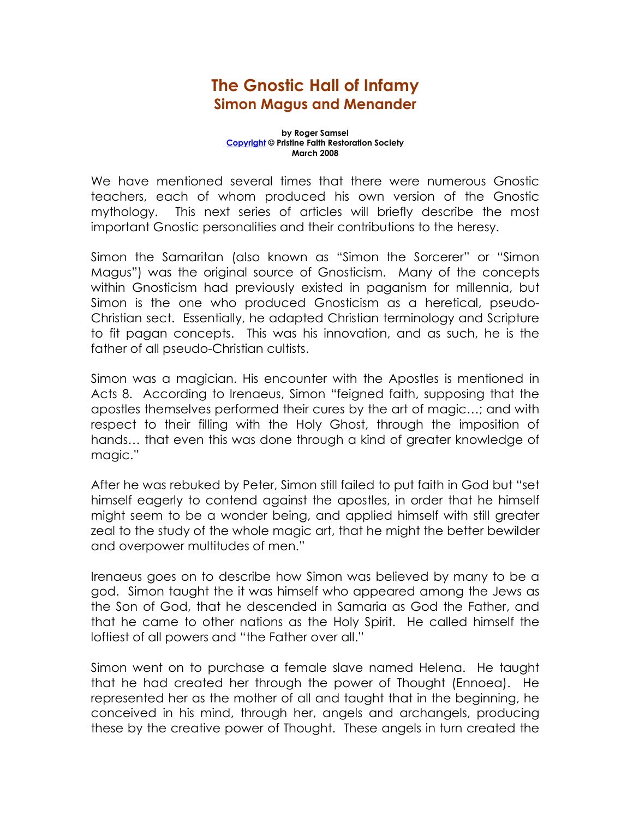## The Gnostic Hall of Infamy Simon Magus and Menander

## by Roger Samsel Copyright © Pristine Faith Restoration Society March 2008

We have mentioned several times that there were numerous Gnostic teachers, each of whom produced his own version of the Gnostic mythology. This next series of articles will briefly describe the most important Gnostic personalities and their contributions to the heresy.

Simon the Samaritan (also known as "Simon the Sorcerer" or "Simon Magus") was the original source of Gnosticism. Many of the concepts within Gnosticism had previously existed in paganism for millennia, but Simon is the one who produced Gnosticism as a heretical, pseudo-Christian sect. Essentially, he adapted Christian terminology and Scripture to fit pagan concepts. This was his innovation, and as such, he is the father of all pseudo-Christian cultists.

Simon was a magician. His encounter with the Apostles is mentioned in Acts 8. According to Irenaeus, Simon "feigned faith, supposing that the apostles themselves performed their cures by the art of magic…; and with respect to their filling with the Holy Ghost, through the imposition of hands… that even this was done through a kind of greater knowledge of magic."

After he was rebuked by Peter, Simon still failed to put faith in God but "set himself eagerly to contend against the apostles, in order that he himself might seem to be a wonder being, and applied himself with still greater zeal to the study of the whole magic art, that he might the better bewilder and overpower multitudes of men."

Irenaeus goes on to describe how Simon was believed by many to be a god. Simon taught the it was himself who appeared among the Jews as the Son of God, that he descended in Samaria as God the Father, and that he came to other nations as the Holy Spirit. He called himself the loftiest of all powers and "the Father over all."

Simon went on to purchase a female slave named Helena. He taught that he had created her through the power of Thought (Ennoea). He represented her as the mother of all and taught that in the beginning, he conceived in his mind, through her, angels and archangels, producing these by the creative power of Thought. These angels in turn created the